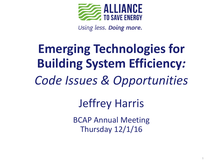

Using less. Doing more.

### **Emerging Technologies for Building System Efficiency***: Code Issues & Opportunities* Jeffrey Harris BCAP Annual Meeting

Thursday 12/1/16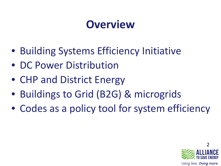#### **Overview**

- Building Systems Efficiency Initiative
- DC Power Distribution
- CHP and District Energy
- Buildings to Grid (B2G) & microgrids
- Codes as a policy tool for system efficiency

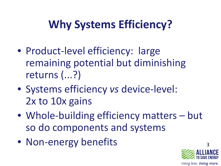#### **Why Systems Efficiency?**

- Product-level efficiency: large remaining potential but diminishing returns (...?)
- Systems efficiency *vs* device-level: 2x to 10x gains
- Whole-building efficiency matters but so do components and systems
- Non-energy benefits

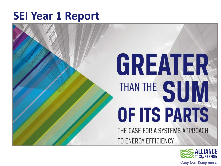#### **SEI Year 1 Report**

# GREATER THAN THE SUI OF ITS PARTS THE CASE FOR A SYSTEMS APPROACH

TO ENERGY EFFICIENCY

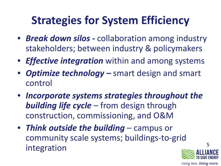#### **Strategies for System Efficiency**

- *Break down silos -* collaboration among industry stakeholders; between industry & policymakers
- *Effective integration* within and among systems
- *Optimize technology –* smart design and smart control
- *Incorporate systems strategies throughout the building life cycle –* from design through construction, commissioning, and O&M
- *Think outside the building* campus or community scale systems; buildings-to-grid integration



Using less. Doing more.

5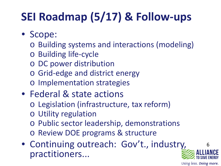#### **SEI Roadmap (5/17) & Follow-ups**

- Scope:
	- o Building systems and interactions (modeling)
	- o Building life-cycle
	- o DC power distribution
	- o Grid-edge and district energy
	- o Implementation strategies
- Federal & state actions
	- o Legislation (infrastructure, tax reform)
	- o Utility regulation
	- o Public sector leadership, demonstrations
	- o Review DOE programs & structure
- Continuing outreach: Gov't., industry, practitioners...

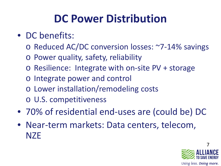#### **DC Power Distribution**

- DC benefits:
	- o Reduced AC/DC conversion losses: ~7-14% savings
	- o Power quality, safety, reliability
	- o Resilience: Integrate with on-site PV + storage
	- o Integrate power and control
	- o Lower installation/remodeling costs
	- o U.S. competitiveness
- 70% of residential end-uses are (could be) DC
- Near-term markets: Data centers, telecom, **NZE**

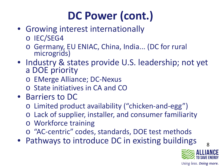#### **DC Power (cont.)**

- Growing interest internationally
	- o IEC/SEG4
	- o Germany, EU ENIAC, China, India... (DC for rural microgrids)
- Industry & states provide U.S. leadership; not yet a DOE priority
	- o EMerge Alliance; DC-Nexus
	- o State initiatives in CA and CO
- Barriers to DC
	- o Limited product availability ("chicken-and-egg")
	- o Lack of supplier, installer, and consumer familiarity
	- o Workforce training
	- o "AC-centric" codes, standards, DOE test methods
- Pathways to introduce DC in existing buildings



Using less. Doing more.

8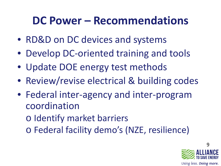#### **DC Power – Recommendations**

- RD&D on DC devices and systems
- Develop DC-oriented training and tools
- Update DOE energy test methods
- Review/revise electrical & building codes
- Federal inter-agency and inter-program coordination
	- o Identify market barriers
	- o Federal facility demo's (NZE, resilience)

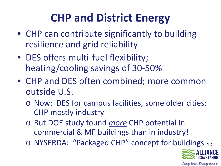#### **CHP and District Energy**

- CHP can contribute significantly to building resilience and grid reliability
- DES offers multi-fuel flexibility; heating/cooling savings of 30-50%
- CHP and DES often combined; more common outside U.S.
	- o Now: DES for campus facilities, some older cities; CHP mostly industry
	- o But DOE study found *more* CHP potential in commercial & MF buildings than in industry!
	- o NYSERDA: "Packaged CHP" concept for buildings 10

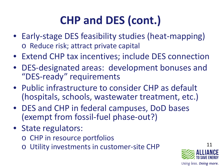#### **CHP and DES (cont.)**

- Early-stage DES feasibility studies (heat-mapping) o Reduce risk; attract private capital
- Extend CHP tax incentives; include DES connection
- DES-designated areas: development bonuses and "DES-ready" requirements
- Public infrastructure to consider CHP as default (hospitals, schools, wastewater treatment, etc.)
- DES and CHP in federal campuses, DoD bases (exempt from fossil-fuel phase-out?)
- State regulators:
	- o CHP in resource portfolios
	- o Utility investments in customer-site CHP

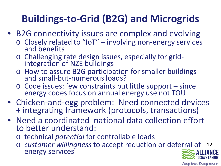#### **Buildings-to-Grid (B2G) and Microgrids**

- B2G connectivity issues are complex and evolving
	- <sup>o</sup> Closely related to "IoT" involving non-energy services and benefits
	- <sup>o</sup> Challenging rate design issues, especially for grid- integration of NZE buildings
	- o How to assure B2G participation for smaller buildings and small-but-numerous loads?
	- o Code issues: few constraints but little support since energy codes focus on annual energy use not TOU
- Chicken-and-egg problem: Need connected devices + integrating framework (protocols, transactions)
- Need a coordinated national data collection effort to better understand:
	- o technical *potential* for controllable loads
	- 12 o *customer willingness* to accept reduction or deferral of energy services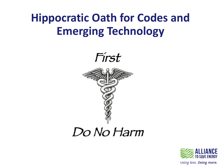#### **Hippocratic Oath for Codes and Emerging Technology**



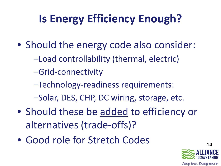#### **Is Energy Efficiency Enough?**

- Should the energy code also consider:
	- –Load controllability (thermal, electric)
	- –Grid-connectivity
	- –Technology-readiness requirements:
	- –Solar, DES, CHP, DC wiring, storage, etc.
- Should these be added to efficiency or alternatives (trade-offs)?
- Good role for Stretch Codes

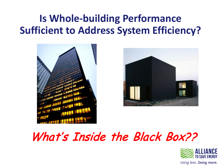#### **Is Whole-building Performance Sufficient to Address System Efficiency?**





#### What's Inside the Black Box??

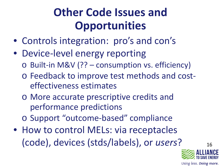#### **Other Code Issues and Opportunities**

- Controls integration: pro's and con's
- Device-level energy reporting
	- o Built-in M&V (?? consumption vs. efficiency)
	- o Feedback to improve test methods and costeffectiveness estimates
	- o More accurate prescriptive credits and performance predictions
	- o Support "outcome-based" compliance
- How to control MELs: via receptacles (code), devices (stds/labels), or *users*?



16